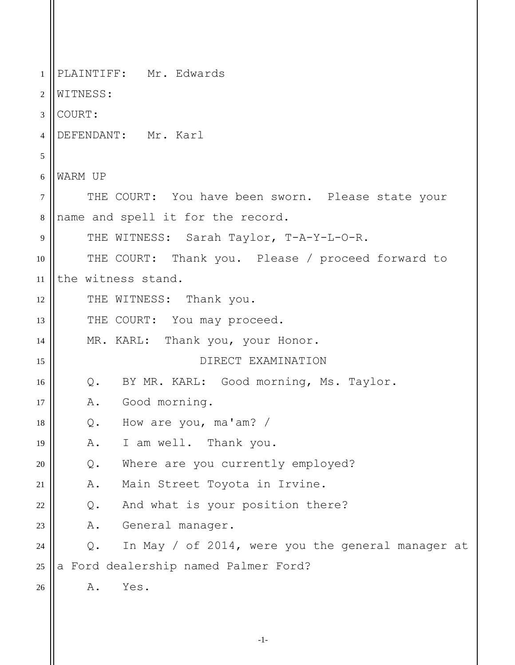1 2 3 4 5 6 7 8 9 10 11 12 13 14 15 16 17 18 19 20 21 22 23 24 25 26 PLAINTIFF: Mr. Edwards WITNESS: COURT: DEFENDANT: Mr. Karl WARM UP THE COURT: You have been sworn. Please state your name and spell it for the record. THE WITNESS: Sarah Taylor, T-A-Y-L-O-R. THE COURT: Thank you. Please / proceed forward to the witness stand. THE WITNESS: Thank you. THE COURT: You may proceed. MR. KARL: Thank you, your Honor. DIRECT EXAMINATION Q. BY MR. KARL: Good morning, Ms. Taylor. A. Good morning. Q. How are you, ma'am? / A. I am well. Thank you. Q. Where are you currently employed? A. Main Street Toyota in Irvine. Q. And what is your position there? A. General manager. Q. In May / of 2014, were you the general manager at a Ford dealership named Palmer Ford? A. Yes.

-1-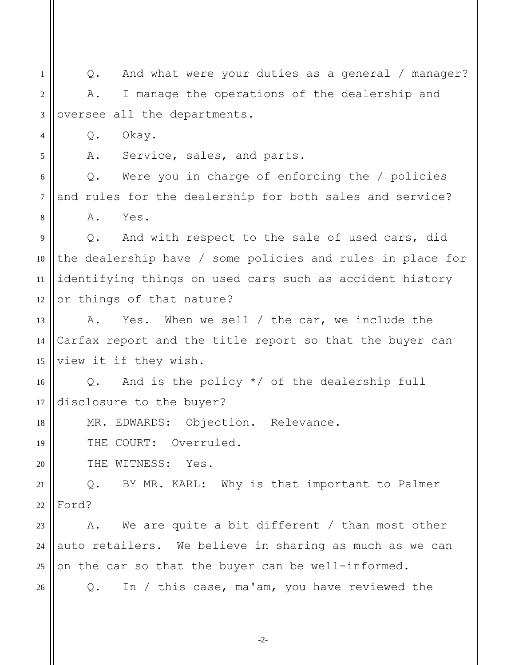1 2 3 4 Q. And what were your duties as a general / manager? A. I manage the operations of the dealership and oversee all the departments. Q. Okay.

A. Service, sales, and parts.

5

18

20

26

6 7 8 Q. Were you in charge of enforcing the / policies and rules for the dealership for both sales and service? A. Yes.

9 10 11 12 Q. And with respect to the sale of used cars, did the dealership have / some policies and rules in place for identifying things on used cars such as accident history or things of that nature?

13 14 15 A. Yes. When we sell / the car, we include the Carfax report and the title report so that the buyer can view it if they wish.

16 17 Q. And is the policy \*/ of the dealership full disclosure to the buyer?

MR. EDWARDS: Objection. Relevance.

19 THE COURT: Overruled.

THE WITNESS: Yes.

21 22 Q. BY MR. KARL: Why is that important to Palmer Ford?

23 24 25 A. We are quite a bit different / than most other auto retailers. We believe in sharing as much as we can on the car so that the buyer can be well-informed.

Q. In / this case, ma'am, you have reviewed the

-2-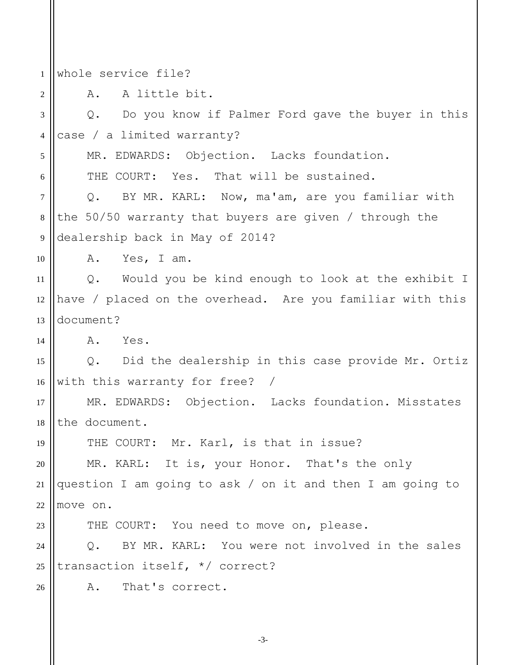1 2 3 4 5 6 7 8 9 10 11 12 13 14 15 16 17 18 19 20 21 22 23 24 25 26 whole service file? A. A little bit. Q. Do you know if Palmer Ford gave the buyer in this case / a limited warranty? MR. EDWARDS: Objection. Lacks foundation. THE COURT: Yes. That will be sustained. Q. BY MR. KARL: Now, ma'am, are you familiar with the 50/50 warranty that buyers are given / through the dealership back in May of 2014? A. Yes, I am. Q. Would you be kind enough to look at the exhibit I have / placed on the overhead. Are you familiar with this document? A. Yes. Q. Did the dealership in this case provide Mr. Ortiz with this warranty for free? / MR. EDWARDS: Objection. Lacks foundation. Misstates the document. THE COURT: Mr. Karl, is that in issue? MR. KARL: It is, your Honor. That's the only question I am going to ask / on it and then I am going to move on. THE COURT: You need to move on, please. Q. BY MR. KARL: You were not involved in the sales transaction itself, \*/ correct? A. That's correct.

-3-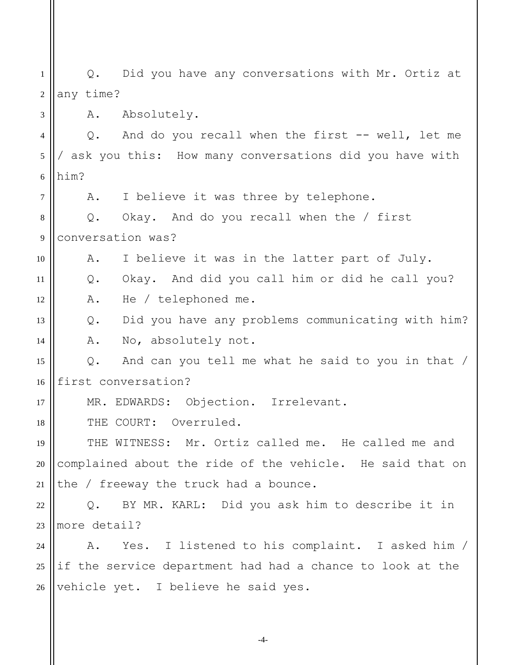1 2 3 4 5 6 Q. Did you have any conversations with Mr. Ortiz at any time? A. Absolutely. Q. And do you recall when the first -- well, let me / ask you this: How many conversations did you have with him?

A. I believe it was three by telephone.

8 9 Q. Okay. And do you recall when the / first conversation was?

10 A. I believe it was in the latter part of July.

11 Q. Okay. And did you call him or did he call you?

A. He / telephoned me.

7

12

14

17

13 Q. Did you have any problems communicating with him?

A. No, absolutely not.

15 16 Q. And can you tell me what he said to you in that / first conversation?

MR. EDWARDS: Objection. Irrelevant.

18 THE COURT: Overruled.

19 20 21 THE WITNESS: Mr. Ortiz called me. He called me and complained about the ride of the vehicle. He said that on the / freeway the truck had a bounce.

22 23 Q. BY MR. KARL: Did you ask him to describe it in more detail?

 $24$ 25 26 A. Yes. I listened to his complaint. I asked him / if the service department had had a chance to look at the vehicle yet. I believe he said yes.

-4-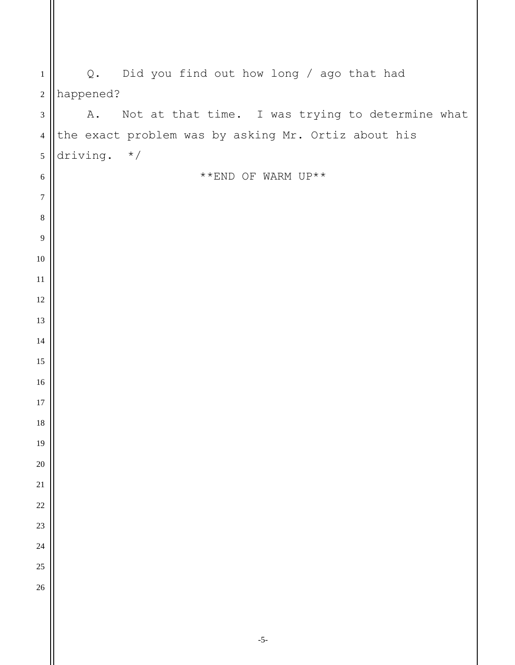| $\mathbf{1}$     | Q. Did you find out how long / ago that had            |
|------------------|--------------------------------------------------------|
| $\sqrt{2}$       | happened?                                              |
| $\mathfrak{Z}$   | Not at that time. I was trying to determine what<br>Α. |
| $\overline{4}$   | the exact problem was by asking Mr. Ortiz about his    |
| $\sqrt{5}$       | driving. $*/$                                          |
| $\sqrt{6}$       | **END OF WARM UP**                                     |
| $\boldsymbol{7}$ |                                                        |
| $\,8\,$          |                                                        |
| 9                |                                                        |
| 10               |                                                        |
| $11\,$           |                                                        |
| 12               |                                                        |
| 13               |                                                        |
| 14               |                                                        |
| 15               |                                                        |
| 16               |                                                        |
| 17               |                                                        |
| 18               |                                                        |
| 19               |                                                        |
| $20\,$<br>21     |                                                        |
| <b>22</b>        |                                                        |
| 23               |                                                        |
| 24               |                                                        |
| 25               |                                                        |
| 26               |                                                        |
|                  |                                                        |
|                  |                                                        |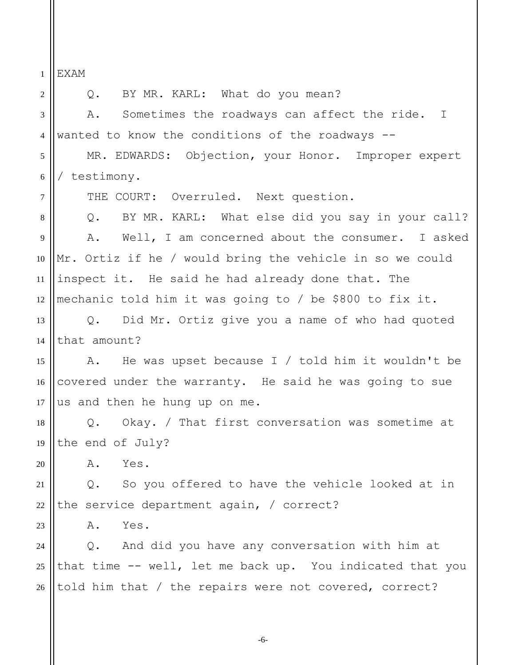1 EXAM

2 3 4 5 6 7 8 9 10 11 12 13 14 15 16 17 18 19 20 21 22 23 24 25 26 Q. BY MR. KARL: What do you mean? A. Sometimes the roadways can affect the ride. I wanted to know the conditions of the roadways -- MR. EDWARDS: Objection, your Honor. Improper expert / testimony. THE COURT: Overruled. Next question. Q. BY MR. KARL: What else did you say in your call? A. Well, I am concerned about the consumer. I asked Mr. Ortiz if he / would bring the vehicle in so we could inspect it. He said he had already done that. The mechanic told him it was going to / be \$800 to fix it. Q. Did Mr. Ortiz give you a name of who had quoted that amount? A. He was upset because I / told him it wouldn't be covered under the warranty. He said he was going to sue us and then he hung up on me. Q. Okay. / That first conversation was sometime at the end of July? A. Yes. Q. So you offered to have the vehicle looked at in the service department again, / correct? A. Yes. Q. And did you have any conversation with him at that time -- well, let me back up. You indicated that you told him that / the repairs were not covered, correct?

-6-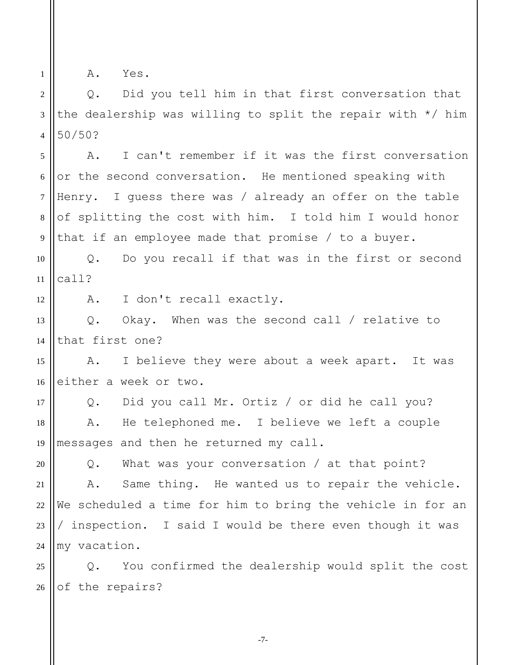1

A. Yes.

2 3 4 Q. Did you tell him in that first conversation that the dealership was willing to split the repair with \*/ him 50/50?

5 6 7 8 9 A. I can't remember if it was the first conversation or the second conversation. He mentioned speaking with Henry. I guess there was / already an offer on the table of splitting the cost with him. I told him I would honor that if an employee made that promise / to a buyer.

10 11 Q. Do you recall if that was in the first or second call?

12 A. I don't recall exactly.

13 14 Q. Okay. When was the second call / relative to that first one?

15 16 A. I believe they were about a week apart. It was either a week or two.

17 18 19 Q. Did you call Mr. Ortiz / or did he call you? A. He telephoned me. I believe we left a couple messages and then he returned my call.

20 21 22 23 24 Q. What was your conversation / at that point? A. Same thing. He wanted us to repair the vehicle. We scheduled a time for him to bring the vehicle in for an / inspection. I said I would be there even though it was my vacation.

25 26 Q. You confirmed the dealership would split the cost of the repairs?

-7-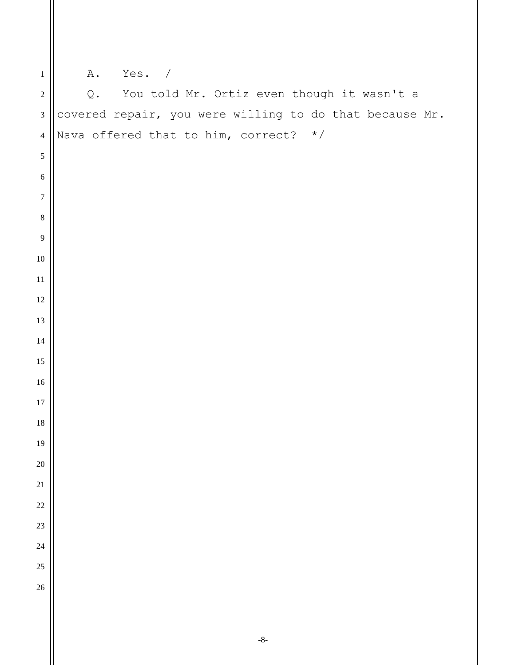| $\mathbf 1$      | Yes. /<br>Α.                                                |
|------------------|-------------------------------------------------------------|
| $\sqrt{2}$       | You told Mr. Ortiz even though it wasn't a<br>$\mathsf Q$ . |
| $\mathfrak{Z}$   | covered repair, you were willing to do that because Mr.     |
| $\overline{4}$   | Nava offered that to him, correct? $*/$                     |
| 5                |                                                             |
| $\sqrt{6}$       |                                                             |
| $\boldsymbol{7}$ |                                                             |
| $\,8\,$          |                                                             |
| $\overline{9}$   |                                                             |
| $10\,$           |                                                             |
| $11\,$           |                                                             |
| 12               |                                                             |
| 13               |                                                             |
| 14               |                                                             |
| 15               |                                                             |
| $16\,$           |                                                             |
| 17               |                                                             |
| $18\,$           |                                                             |
| $19\,$           |                                                             |
| $20\,$           |                                                             |
| $21\,$           |                                                             |
| 22               |                                                             |
| 23               |                                                             |
| 24               |                                                             |
| 25<br>$26\,$     |                                                             |
|                  |                                                             |
|                  |                                                             |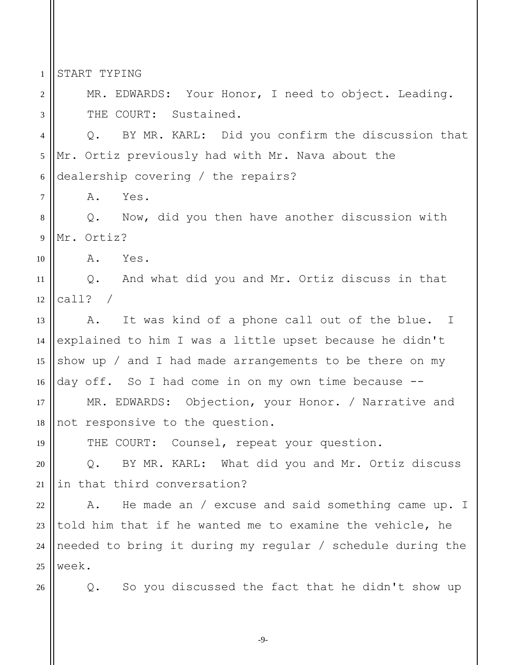START TYPING

1

2

3

7

MR. EDWARDS: Your Honor, I need to object. Leading. THE COURT: Sustained.

4 5 6 Q. BY MR. KARL: Did you confirm the discussion that Mr. Ortiz previously had with Mr. Nava about the dealership covering / the repairs?

A. Yes.

8 9 Q. Now, did you then have another discussion with Mr. Ortiz?

10 A. Yes.

11 12 Q. And what did you and Mr. Ortiz discuss in that call? /

13 14 15 16 A. It was kind of a phone call out of the blue. I explained to him I was a little upset because he didn't show up / and I had made arrangements to be there on my day off. So I had come in on my own time because --

17 18 MR. EDWARDS: Objection, your Honor. / Narrative and not responsive to the question.

THE COURT: Counsel, repeat your question.

20 21 Q. BY MR. KARL: What did you and Mr. Ortiz discuss in that third conversation?

22 23 24 25 A. He made an / excuse and said something came up. I told him that if he wanted me to examine the vehicle, he needed to bring it during my regular / schedule during the week.

26

19

Q. So you discussed the fact that he didn't show up

-9-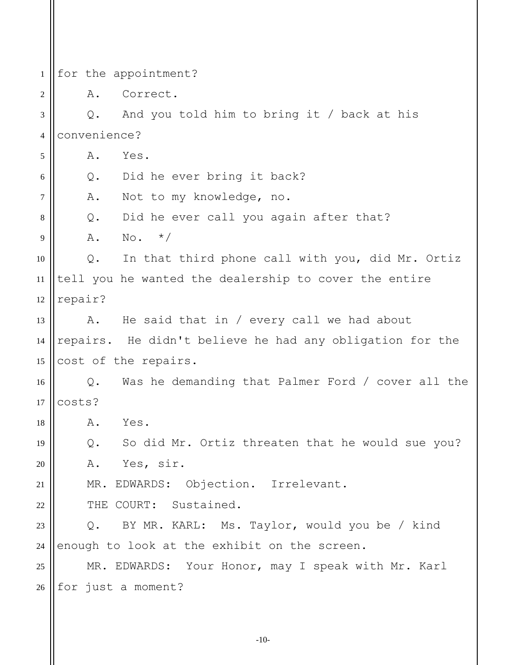1 2 3 4 5 6 7 8 9 10 11 12 13 14 15 16 17 18 19 20 21 22 23 24 25 26 for the appointment? A. Correct. Q. And you told him to bring it / back at his convenience? A. Yes. Q. Did he ever bring it back? A. Not to my knowledge, no. Q. Did he ever call you again after that?  $A. \tNo. *$ Q. In that third phone call with you, did Mr. Ortiz tell you he wanted the dealership to cover the entire repair? A. He said that in / every call we had about repairs. He didn't believe he had any obligation for the cost of the repairs. Q. Was he demanding that Palmer Ford / cover all the costs? A. Yes. Q. So did Mr. Ortiz threaten that he would sue you? A. Yes, sir. MR. EDWARDS: Objection. Irrelevant. THE COURT: Sustained. Q. BY MR. KARL: Ms. Taylor, would you be / kind enough to look at the exhibit on the screen. MR. EDWARDS: Your Honor, may I speak with Mr. Karl for just a moment?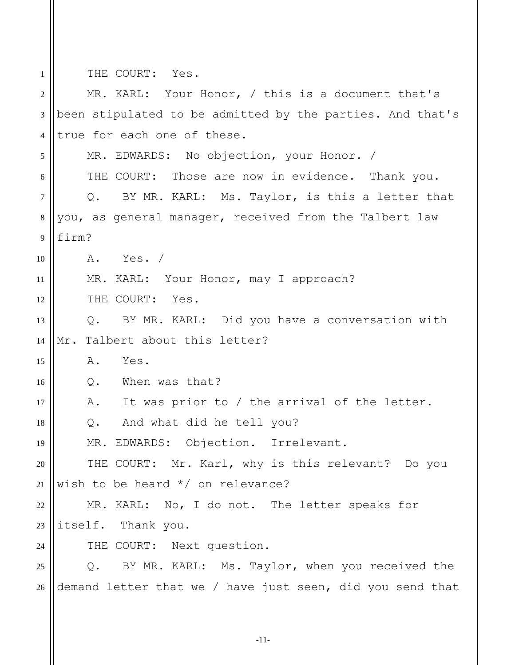THE COURT: Yes.

1

| $\overline{2}$ | MR. KARL: Your Honor, / this is a document that's         |
|----------------|-----------------------------------------------------------|
| $\mathfrak{Z}$ | been stipulated to be admitted by the parties. And that's |
| $\overline{4}$ | true for each one of these.                               |
| 5              | MR. EDWARDS: No objection, your Honor. /                  |
| 6              | THE COURT: Those are now in evidence. Thank you.          |
| $\tau$         | Q. BY MR. KARL: Ms. Taylor, is this a letter that         |
| $8\,$          | you, as general manager, received from the Talbert law    |
| 9              | firm?                                                     |
| 10             | A. Yes. /                                                 |
| 11             | MR. KARL: Your Honor, may I approach?                     |
| 12             | THE COURT: Yes.                                           |
| 13             | Q. BY MR. KARL: Did you have a conversation with          |
| 14             | Talbert about this letter?<br>$\overline{\texttt{Mr.}}$   |
| 15             | Α.<br>Yes.                                                |
| 16             | When was that?<br>Q.                                      |
| 17             | It was prior to / the arrival of the letter.<br>Α.        |
| 18             | Q. And what did he tell you?                              |
| 19             | MR. EDWARDS: Objection. Irrelevant.                       |
| 20             | THE COURT: Mr. Karl, why is this relevant? Do you         |
| 21             | wish to be heard $*/$ on relevance?                       |
| 22             | MR. KARL: No, I do not. The letter speaks for             |
| 23             | itself. Thank you.                                        |
| 24             | THE COURT: Next question.                                 |
| 25             | BY MR. KARL: Ms. Taylor, when you received the<br>$Q$ .   |
| 26             | demand letter that we / have just seen, did you send that |
|                |                                                           |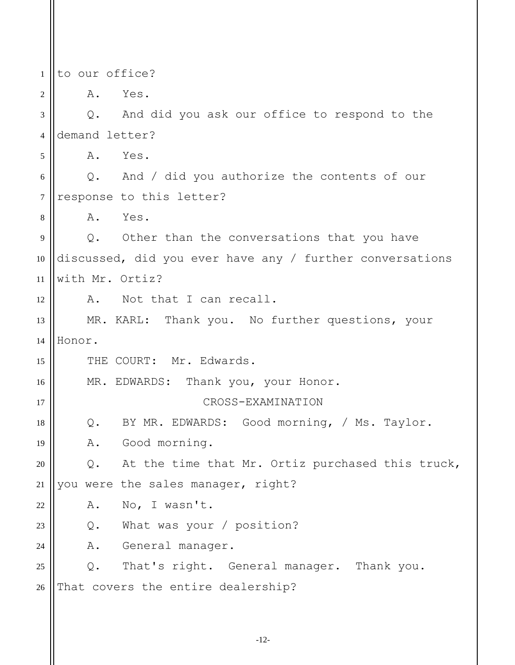1 to our office?

2

15

16

17

18

23

24

A. Yes.

3 4 5 6 7 8 9 10 11 Q. And did you ask our office to respond to the demand letter? A. Yes. Q. And / did you authorize the contents of our response to this letter? A. Yes. Q. Other than the conversations that you have discussed, did you ever have any / further conversations with Mr. Ortiz?

12 A. Not that I can recall.

13 14 MR. KARL: Thank you. No further questions, your Honor.

THE COURT: Mr. Edwards.

MR. EDWARDS: Thank you, your Honor.

## CROSS-EXAMINATION

Q. BY MR. EDWARDS: Good morning, / Ms. Taylor.

19 A. Good morning.

20 21 Q. At the time that Mr. Ortiz purchased this truck, you were the sales manager, right?

22 A. No, I wasn't.

Q. What was your / position?

A. General manager.

25 26 Q. That's right. General manager. Thank you. That covers the entire dealership?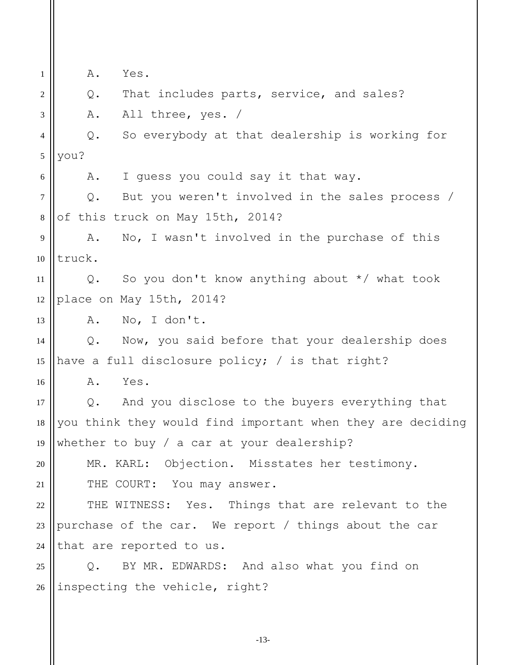1 2 3 4 5 6 7 8 9 10 11 12 13 14 15 16 17 18 19 20 21 22 23 24 25 26 A. Yes. Q. That includes parts, service, and sales? A. All three, yes. / Q. So everybody at that dealership is working for you? A. I guess you could say it that way. Q. But you weren't involved in the sales process / of this truck on May 15th, 2014? A. No, I wasn't involved in the purchase of this truck. Q. So you don't know anything about \*/ what took place on May 15th, 2014? A. No, I don't. Q. Now, you said before that your dealership does have a full disclosure policy; / is that right? A. Yes. Q. And you disclose to the buyers everything that you think they would find important when they are deciding whether to buy / a car at your dealership? MR. KARL: Objection. Misstates her testimony. THE COURT: You may answer. THE WITNESS: Yes. Things that are relevant to the purchase of the car. We report / things about the car that are reported to us. Q. BY MR. EDWARDS: And also what you find on inspecting the vehicle, right?

-13-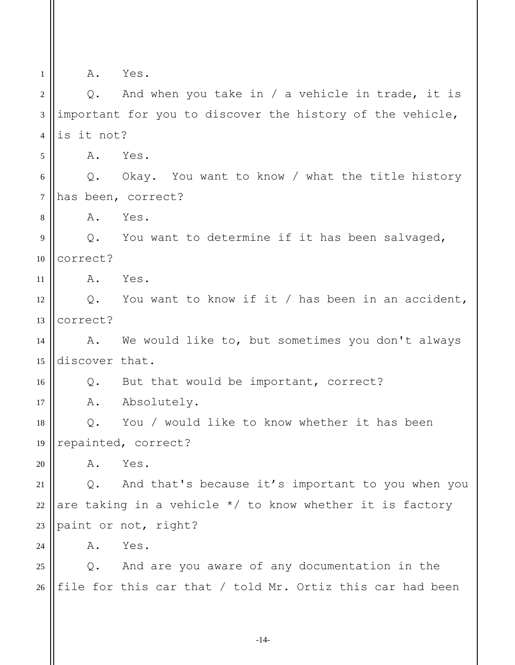1

A. Yes.

2 3 4 5 6 7 8 9 10 11 12 13 14 15 16 17 18 19 20 21 22 23  $24$ 25 26 Q. And when you take in / a vehicle in trade, it is important for you to discover the history of the vehicle, is it not? A. Yes. Q. Okay. You want to know / what the title history has been, correct? A. Yes. Q. You want to determine if it has been salvaged, correct? A. Yes. Q. You want to know if it / has been in an accident, correct? A. We would like to, but sometimes you don't always discover that. Q. But that would be important, correct? A. Absolutely. Q. You / would like to know whether it has been repainted, correct? A. Yes. Q. And that's because it's important to you when you are taking in a vehicle  $*/$  to know whether it is factory paint or not, right? A. Yes. Q. And are you aware of any documentation in the file for this car that / told Mr. Ortiz this car had been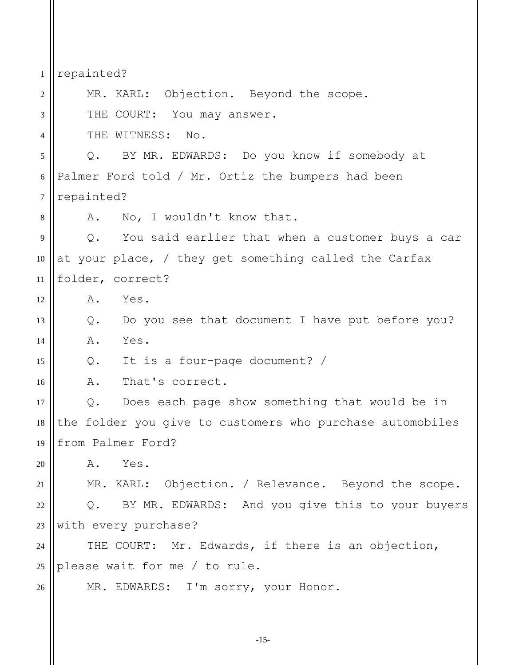1 2 3 4 5 6 7 8 9 10 11 12 13 14 15 16 17 18 19 20 21 22 23 24 25 26 repainted? MR. KARL: Objection. Beyond the scope. THE COURT: You may answer. THE WITNESS: No. Q. BY MR. EDWARDS: Do you know if somebody at Palmer Ford told / Mr. Ortiz the bumpers had been repainted? A. No, I wouldn't know that. Q. You said earlier that when a customer buys a car at your place, / they get something called the Carfax folder, correct? A. Yes. Q. Do you see that document I have put before you? A. Yes. Q. It is a four-page document? / A. That's correct. Q. Does each page show something that would be in the folder you give to customers who purchase automobiles from Palmer Ford? A. Yes. MR. KARL: Objection. / Relevance. Beyond the scope. Q. BY MR. EDWARDS: And you give this to your buyers with every purchase? THE COURT: Mr. Edwards, if there is an objection, please wait for me / to rule. MR. EDWARDS: I'm sorry, your Honor.

-15-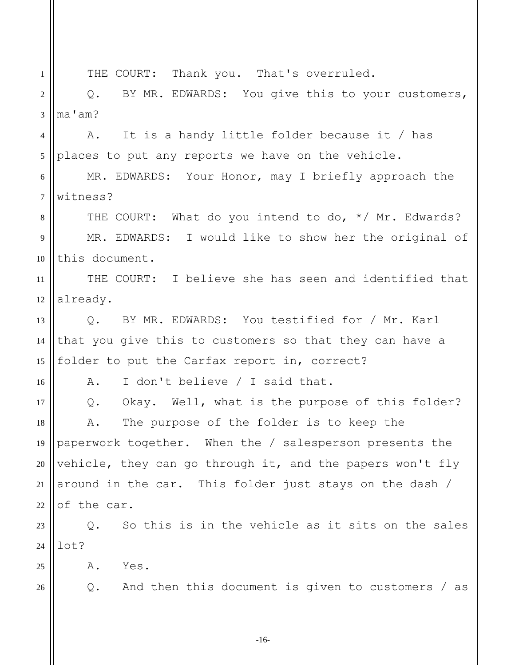1 2 3 4 5 6 7 8 9 10 11 12 13 14 15 16 17 18 19 20 21 22 23 24 25 26 THE COURT: Thank you. That's overruled. Q. BY MR. EDWARDS: You give this to your customers, ma'am? A. It is a handy little folder because it / has places to put any reports we have on the vehicle. MR. EDWARDS: Your Honor, may I briefly approach the witness? THE COURT: What do you intend to do, \*/ Mr. Edwards? MR. EDWARDS: I would like to show her the original of this document. THE COURT: I believe she has seen and identified that already. Q. BY MR. EDWARDS: You testified for / Mr. Karl that you give this to customers so that they can have a folder to put the Carfax report in, correct? A. I don't believe / I said that. Q. Okay. Well, what is the purpose of this folder? A. The purpose of the folder is to keep the paperwork together. When the / salesperson presents the vehicle, they can go through it, and the papers won't fly around in the car. This folder just stays on the dash / of the car. Q. So this is in the vehicle as it sits on the sales lot? A. Yes. Q. And then this document is given to customers / as

-16-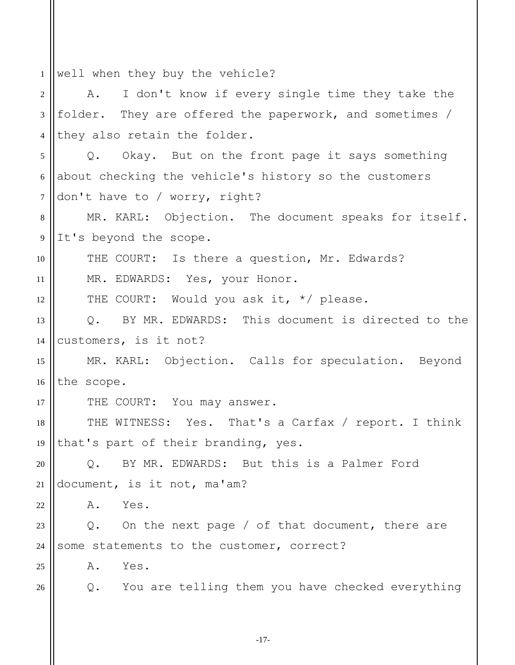| $\mathbf{1}$   | well when they buy the vehicle?                            |
|----------------|------------------------------------------------------------|
| 2              | I don't know if every single time they take the<br>Α.      |
| 3              | folder. They are offered the paperwork, and sometimes /    |
| $\overline{4}$ | they also retain the folder.                               |
| 5              | Q. Okay. But on the front page it says something           |
| 6              | about checking the vehicle's history so the customers      |
| $\tau$         | don't have to / worry, right?                              |
| 8              | MR. KARL: Objection. The document speaks for itself.       |
| 9              | It's beyond the scope.                                     |
| 10             | THE COURT: Is there a question, Mr. Edwards?               |
| 11             | MR. EDWARDS: Yes, your Honor.                              |
| 12             | THE COURT: Would you ask it, */ please.                    |
| 13             | Q. BY MR. EDWARDS: This document is directed to the        |
| 14             | customers, is it not?                                      |
| 15             | MR. KARL: Objection. Calls for speculation. Beyond         |
| 16             | the scope.                                                 |
| 17             | THE COURT: You may answer.                                 |
| 18             | THE WITNESS: Yes. That's a Carfax / report. I think        |
| 19             | that's part of their branding, yes.                        |
| 20             | BY MR. EDWARDS: But this is a Palmer Ford<br>$Q_{\bullet}$ |
| 21             | document, is it not, ma'am?                                |
| 22             | Yes.<br>Α.                                                 |
| 23             | Q. On the next page / of that document, there are          |
| 24             | some statements to the customer, correct?                  |
| 25             | Yes.<br>Α.                                                 |
| 26             | Q. You are telling them you have checked everything        |
|                |                                                            |
|                |                                                            |

-17-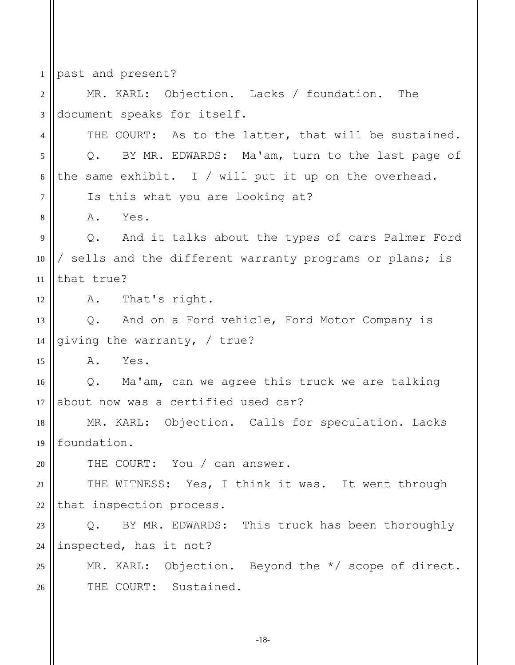1 2 3 4 5 6 7 8 9 10 11 12 13 14 15 16 17 18 19 20 21 22 23 24 25 26 past and present? MR. KARL: Objection. Lacks / foundation. The document speaks for itself. THE COURT: As to the latter, that will be sustained. Q. BY MR. EDWARDS: Ma'am, turn to the last page of the same exhibit. I / will put it up on the overhead. Is this what you are looking at? A. Yes. Q. And it talks about the types of cars Palmer Ford / sells and the different warranty programs or plans; is that true? A. That's right. Q. And on a Ford vehicle, Ford Motor Company is giving the warranty, / true? A. Yes. Q. Ma'am, can we agree this truck we are talking about now was a certified used car? MR. KARL: Objection. Calls for speculation. Lacks foundation. THE COURT: You / can answer. THE WITNESS: Yes, I think it was. It went through that inspection process. Q. BY MR. EDWARDS: This truck has been thoroughly inspected, has it not? MR. KARL: Objection. Beyond the \*/ scope of direct. THE COURT: Sustained.

-18-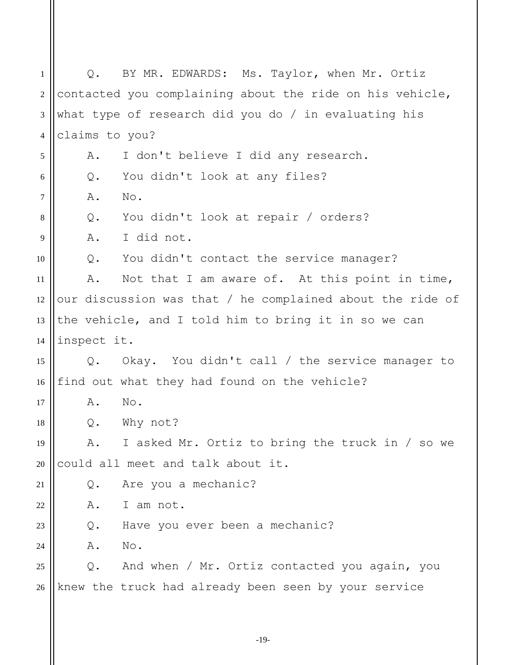1 2 3 4 5 6 7 8 9 10 11 12 13 14 15 16 17 18 19 20 21 22 23  $24$ 25 26 Q. BY MR. EDWARDS: Ms. Taylor, when Mr. Ortiz contacted you complaining about the ride on his vehicle, what type of research did you do / in evaluating his claims to you? A. I don't believe I did any research. Q. You didn't look at any files? A. No. Q. You didn't look at repair / orders? A. I did not. Q. You didn't contact the service manager? A. Not that I am aware of. At this point in time, our discussion was that / he complained about the ride of the vehicle, and I told him to bring it in so we can inspect it. Q. Okay. You didn't call / the service manager to find out what they had found on the vehicle? A. No. Q. Why not? A. I asked Mr. Ortiz to bring the truck in / so we could all meet and talk about it. Q. Are you a mechanic? A. I am not. Q. Have you ever been a mechanic? A. No. Q. And when / Mr. Ortiz contacted you again, you knew the truck had already been seen by your service

-19-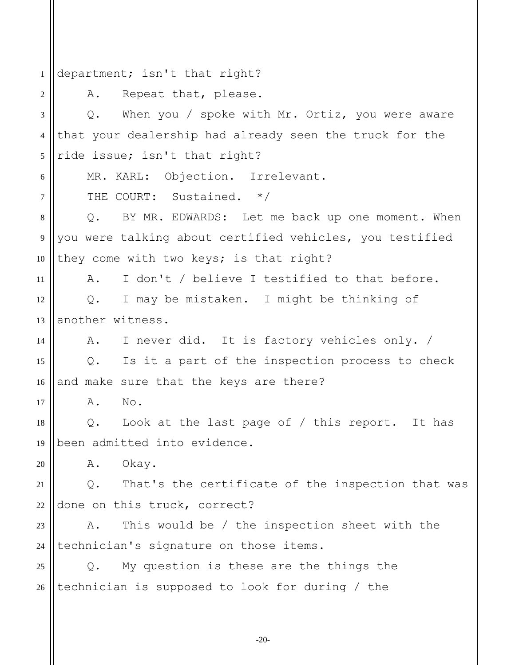1 2 3 4 5 6 7 8 9 10 11 12 13 14 15 16 17 18 19 20 21 22 23 24 25 26 department; isn't that right? A. Repeat that, please. Q. When you / spoke with Mr. Ortiz, you were aware that your dealership had already seen the truck for the ride issue; isn't that right? MR. KARL: Objection. Irrelevant. THE COURT: Sustained. \*/ Q. BY MR. EDWARDS: Let me back up one moment. When you were talking about certified vehicles, you testified they come with two keys; is that right? A. I don't / believe I testified to that before. Q. I may be mistaken. I might be thinking of another witness. A. I never did. It is factory vehicles only. / Q. Is it a part of the inspection process to check and make sure that the keys are there? A. No. Q. Look at the last page of / this report. It has been admitted into evidence. A. Okay. Q. That's the certificate of the inspection that was done on this truck, correct? A. This would be / the inspection sheet with the technician's signature on those items. Q. My question is these are the things the technician is supposed to look for during / the

-20-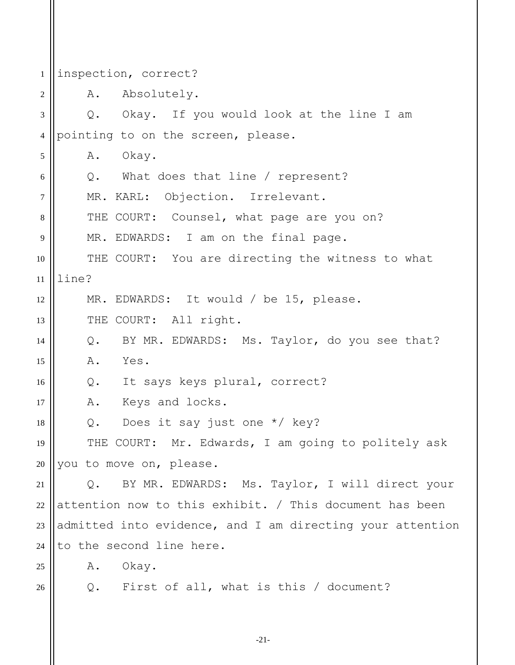| 1              | inspection, correct?                                      |
|----------------|-----------------------------------------------------------|
| 2              | A. Absolutely.                                            |
| 3              | Q. Okay. If you would look at the line I am               |
| $\overline{4}$ | pointing to on the screen, please.                        |
| 5              | Okay.<br>Α.                                               |
| 6              | Q. What does that line / represent?                       |
| $\overline{7}$ | MR. KARL: Objection. Irrelevant.                          |
| 8              | THE COURT: Counsel, what page are you on?                 |
| 9              | MR. EDWARDS: I am on the final page.                      |
| 10             | THE COURT: You are directing the witness to what          |
| 11             | line?                                                     |
| 12             | MR. EDWARDS: It would / be 15, please.                    |
| 13             | THE COURT: All right.                                     |
| 14             | Q. BY MR. EDWARDS: Ms. Taylor, do you see that?           |
| 15             | Α.<br>Yes.                                                |
| 16             | Q. It says keys plural, correct?                          |
| 17             | Keys and locks.<br>Α.                                     |
| 18             | Does it say just one $*/$ key?<br>Q.                      |
| 19             | THE COURT: Mr. Edwards, I am going to politely ask        |
| 20             | you to move on, please.                                   |
| 21             | BY MR. EDWARDS: Ms. Taylor, I will direct your<br>Q.      |
| $22\,$         | attention now to this exhibit. / This document has been   |
| 23             | admitted into evidence, and I am directing your attention |
| 24             | to the second line here.                                  |
| 25             | A. Okay.                                                  |
| 26             | Q. First of all, what is this / document?                 |
|                |                                                           |

-21-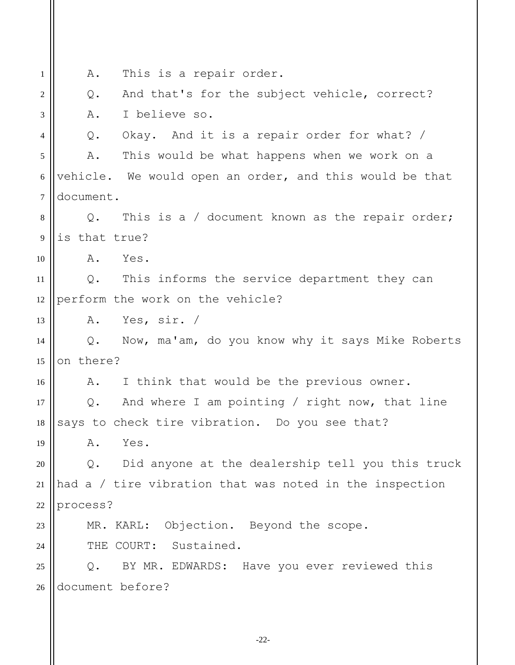1 2 3 4 5 6 7 8 9 10 11 12 13 14 15 16 17 18 19 20 21 22 23  $24$ 25 26 A. This is a repair order. Q. And that's for the subject vehicle, correct? A. I believe so. Q. Okay. And it is a repair order for what? / A. This would be what happens when we work on a vehicle. We would open an order, and this would be that document. Q. This is a / document known as the repair order; is that true? A. Yes. Q. This informs the service department they can perform the work on the vehicle? A. Yes, sir. / Q. Now, ma'am, do you know why it says Mike Roberts on there? A. I think that would be the previous owner. Q. And where I am pointing / right now, that line says to check tire vibration. Do you see that? A. Yes. Q. Did anyone at the dealership tell you this truck had a / tire vibration that was noted in the inspection process? MR. KARL: Objection. Beyond the scope. THE COURT: Sustained. Q. BY MR. EDWARDS: Have you ever reviewed this document before?

-22-